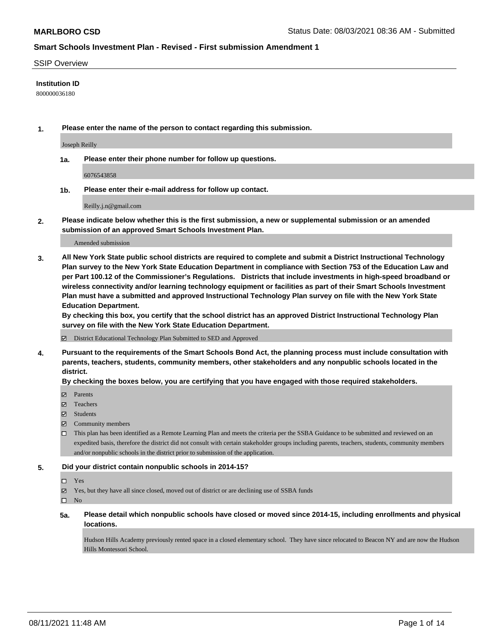#### SSIP Overview

#### **Institution ID**

800000036180

**1. Please enter the name of the person to contact regarding this submission.**

Joseph Reilly

**1a. Please enter their phone number for follow up questions.**

6076543858

**1b. Please enter their e-mail address for follow up contact.**

Reilly.j.n@gmail.com

**2. Please indicate below whether this is the first submission, a new or supplemental submission or an amended submission of an approved Smart Schools Investment Plan.**

#### Amended submission

**3. All New York State public school districts are required to complete and submit a District Instructional Technology Plan survey to the New York State Education Department in compliance with Section 753 of the Education Law and per Part 100.12 of the Commissioner's Regulations. Districts that include investments in high-speed broadband or wireless connectivity and/or learning technology equipment or facilities as part of their Smart Schools Investment Plan must have a submitted and approved Instructional Technology Plan survey on file with the New York State Education Department.** 

**By checking this box, you certify that the school district has an approved District Instructional Technology Plan survey on file with the New York State Education Department.**

District Educational Technology Plan Submitted to SED and Approved

**4. Pursuant to the requirements of the Smart Schools Bond Act, the planning process must include consultation with parents, teachers, students, community members, other stakeholders and any nonpublic schools located in the district.** 

#### **By checking the boxes below, you are certifying that you have engaged with those required stakeholders.**

- Parents
- Teachers
- Students
- $\boxtimes$  Community members
- This plan has been identified as a Remote Learning Plan and meets the criteria per the SSBA Guidance to be submitted and reviewed on an expedited basis, therefore the district did not consult with certain stakeholder groups including parents, teachers, students, community members and/or nonpublic schools in the district prior to submission of the application.
- **5. Did your district contain nonpublic schools in 2014-15?**
	- □ Yes
	- Yes, but they have all since closed, moved out of district or are declining use of SSBA funds

 $\Box$  No

**5a. Please detail which nonpublic schools have closed or moved since 2014-15, including enrollments and physical locations.**

Hudson Hills Academy previously rented space in a closed elementary school. They have since relocated to Beacon NY and are now the Hudson Hills Montessori School.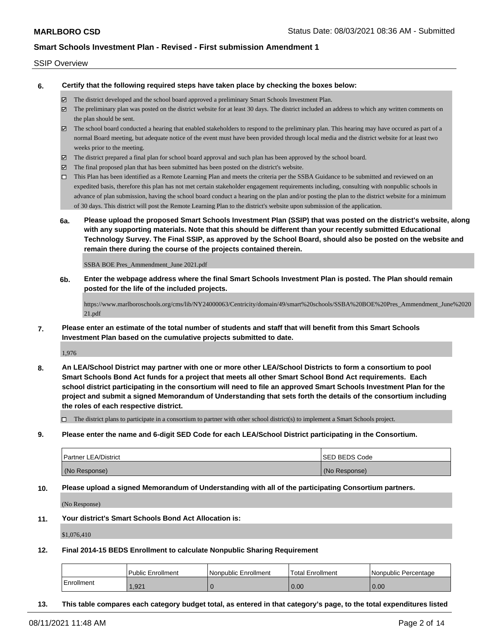#### SSIP Overview

**6. Certify that the following required steps have taken place by checking the boxes below:**

- The district developed and the school board approved a preliminary Smart Schools Investment Plan.
- The preliminary plan was posted on the district website for at least 30 days. The district included an address to which any written comments on the plan should be sent.
- $\boxtimes$  The school board conducted a hearing that enabled stakeholders to respond to the preliminary plan. This hearing may have occured as part of a normal Board meeting, but adequate notice of the event must have been provided through local media and the district website for at least two weeks prior to the meeting.
- The district prepared a final plan for school board approval and such plan has been approved by the school board.
- $\boxtimes$  The final proposed plan that has been submitted has been posted on the district's website.
- This Plan has been identified as a Remote Learning Plan and meets the criteria per the SSBA Guidance to be submitted and reviewed on an expedited basis, therefore this plan has not met certain stakeholder engagement requirements including, consulting with nonpublic schools in advance of plan submission, having the school board conduct a hearing on the plan and/or posting the plan to the district website for a minimum of 30 days. This district will post the Remote Learning Plan to the district's website upon submission of the application.
- **6a. Please upload the proposed Smart Schools Investment Plan (SSIP) that was posted on the district's website, along with any supporting materials. Note that this should be different than your recently submitted Educational Technology Survey. The Final SSIP, as approved by the School Board, should also be posted on the website and remain there during the course of the projects contained therein.**

SSBA BOE Pres\_Ammendment\_June 2021.pdf

**6b. Enter the webpage address where the final Smart Schools Investment Plan is posted. The Plan should remain posted for the life of the included projects.**

https://www.marlboroschools.org/cms/lib/NY24000063/Centricity/domain/49/smart%20schools/SSBA%20BOE%20Pres\_Ammendment\_June%2020 21.pdf

**7. Please enter an estimate of the total number of students and staff that will benefit from this Smart Schools Investment Plan based on the cumulative projects submitted to date.**

1,976

**8. An LEA/School District may partner with one or more other LEA/School Districts to form a consortium to pool Smart Schools Bond Act funds for a project that meets all other Smart School Bond Act requirements. Each school district participating in the consortium will need to file an approved Smart Schools Investment Plan for the project and submit a signed Memorandum of Understanding that sets forth the details of the consortium including the roles of each respective district.**

 $\Box$  The district plans to participate in a consortium to partner with other school district(s) to implement a Smart Schools project.

**9. Please enter the name and 6-digit SED Code for each LEA/School District participating in the Consortium.**

| <b>Partner LEA/District</b> | <b>ISED BEDS Code</b> |
|-----------------------------|-----------------------|
| (No Response)               | (No Response)         |

**10. Please upload a signed Memorandum of Understanding with all of the participating Consortium partners.**

(No Response)

**11. Your district's Smart Schools Bond Act Allocation is:**

\$1,076,410

**12. Final 2014-15 BEDS Enrollment to calculate Nonpublic Sharing Requirement**

|            | Public Enrollment | Nonpublic Enrollment | Total Enrollment | Nonpublic Percentage |
|------------|-------------------|----------------------|------------------|----------------------|
| Enrollment | .921              |                      | $\vert$ 0.00     | 0.00                 |

**13. This table compares each category budget total, as entered in that category's page, to the total expenditures listed**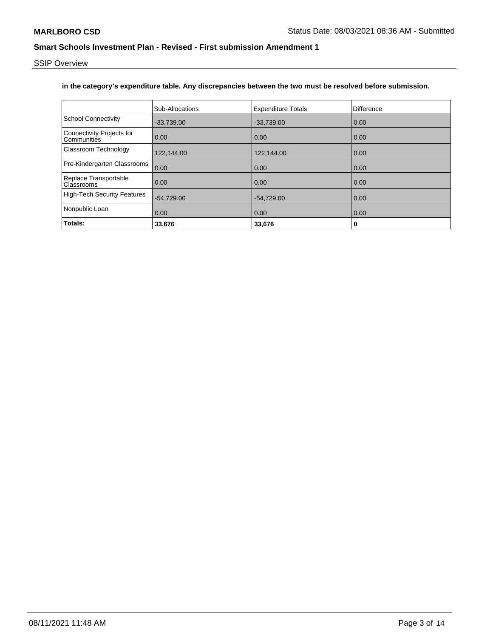SSIP Overview

### **in the category's expenditure table. Any discrepancies between the two must be resolved before submission.**

|                                          | Sub-Allocations | <b>Expenditure Totals</b> | Difference |
|------------------------------------------|-----------------|---------------------------|------------|
| <b>School Connectivity</b>               | $-33,739.00$    | $-33,739.00$              | 0.00       |
| Connectivity Projects for<br>Communities | 0.00            | 0.00                      | 0.00       |
| Classroom Technology                     | 122,144.00      | 122,144.00                | 0.00       |
| Pre-Kindergarten Classrooms              | 0.00            | 0.00                      | 0.00       |
| Replace Transportable<br>Classrooms      | 0.00            | 0.00                      | 0.00       |
| <b>High-Tech Security Features</b>       | $-54,729.00$    | $-54,729.00$              | 0.00       |
| Nonpublic Loan                           | 0.00            | 0.00                      | 0.00       |
| Totals:                                  | 33,676          | 33,676                    | 0          |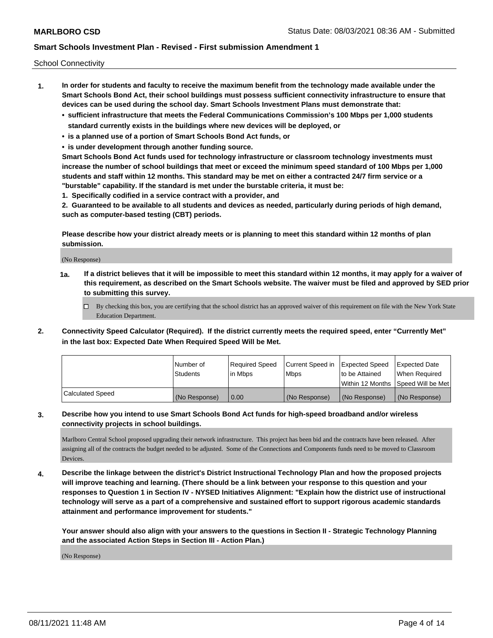School Connectivity

- **1. In order for students and faculty to receive the maximum benefit from the technology made available under the Smart Schools Bond Act, their school buildings must possess sufficient connectivity infrastructure to ensure that devices can be used during the school day. Smart Schools Investment Plans must demonstrate that:**
	- **• sufficient infrastructure that meets the Federal Communications Commission's 100 Mbps per 1,000 students standard currently exists in the buildings where new devices will be deployed, or**
	- **• is a planned use of a portion of Smart Schools Bond Act funds, or**
	- **• is under development through another funding source.**

**Smart Schools Bond Act funds used for technology infrastructure or classroom technology investments must increase the number of school buildings that meet or exceed the minimum speed standard of 100 Mbps per 1,000 students and staff within 12 months. This standard may be met on either a contracted 24/7 firm service or a "burstable" capability. If the standard is met under the burstable criteria, it must be:**

**1. Specifically codified in a service contract with a provider, and**

**2. Guaranteed to be available to all students and devices as needed, particularly during periods of high demand, such as computer-based testing (CBT) periods.**

**Please describe how your district already meets or is planning to meet this standard within 12 months of plan submission.**

(No Response)

**1a. If a district believes that it will be impossible to meet this standard within 12 months, it may apply for a waiver of this requirement, as described on the Smart Schools website. The waiver must be filed and approved by SED prior to submitting this survey.**

 $\Box$  By checking this box, you are certifying that the school district has an approved waiver of this requirement on file with the New York State Education Department.

**2. Connectivity Speed Calculator (Required). If the district currently meets the required speed, enter "Currently Met" in the last box: Expected Date When Required Speed Will be Met.**

|                  | l Number of     | Required Speed | Current Speed in | Expected Speed | Expected Date                           |
|------------------|-----------------|----------------|------------------|----------------|-----------------------------------------|
|                  | <b>Students</b> | In Mbps        | l Mbps           | to be Attained | When Required                           |
|                  |                 |                |                  |                | l Within 12 Months ISpeed Will be Met l |
| Calculated Speed | (No Response)   | 0.00           | (No Response)    | (No Response)  | (No Response)                           |

### **3. Describe how you intend to use Smart Schools Bond Act funds for high-speed broadband and/or wireless connectivity projects in school buildings.**

Marlboro Central School proposed upgrading their network infrastructure. This project has been bid and the contracts have been released. After assigning all of the contracts the budget needed to be adjusted. Some of the Connections and Components funds need to be moved to Classroom Devices.

**4. Describe the linkage between the district's District Instructional Technology Plan and how the proposed projects will improve teaching and learning. (There should be a link between your response to this question and your responses to Question 1 in Section IV - NYSED Initiatives Alignment: "Explain how the district use of instructional technology will serve as a part of a comprehensive and sustained effort to support rigorous academic standards attainment and performance improvement for students."** 

**Your answer should also align with your answers to the questions in Section II - Strategic Technology Planning and the associated Action Steps in Section III - Action Plan.)**

(No Response)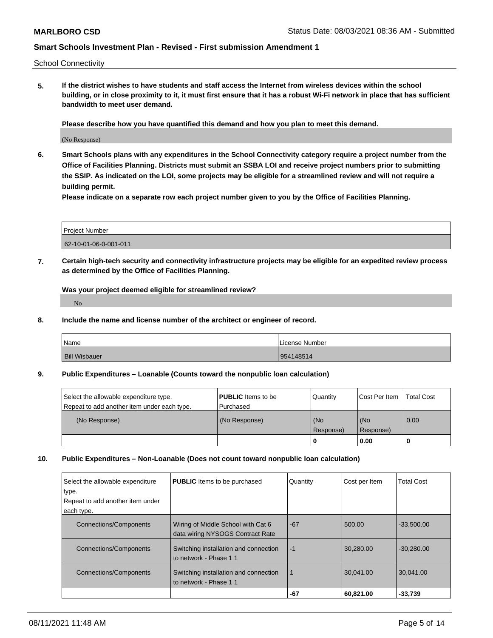School Connectivity

**5. If the district wishes to have students and staff access the Internet from wireless devices within the school building, or in close proximity to it, it must first ensure that it has a robust Wi-Fi network in place that has sufficient bandwidth to meet user demand.**

**Please describe how you have quantified this demand and how you plan to meet this demand.**

(No Response)

**6. Smart Schools plans with any expenditures in the School Connectivity category require a project number from the Office of Facilities Planning. Districts must submit an SSBA LOI and receive project numbers prior to submitting the SSIP. As indicated on the LOI, some projects may be eligible for a streamlined review and will not require a building permit.**

**Please indicate on a separate row each project number given to you by the Office of Facilities Planning.**

| <b>Project Number</b> |  |
|-----------------------|--|
| 62-10-01-06-0-001-011 |  |

**7. Certain high-tech security and connectivity infrastructure projects may be eligible for an expedited review process as determined by the Office of Facilities Planning.**

**Was your project deemed eligible for streamlined review?**

No

**8. Include the name and license number of the architect or engineer of record.**

| <b>Name</b>          | License Number |
|----------------------|----------------|
| <b>Bill Wisbauer</b> | 954148514      |

#### **9. Public Expenditures – Loanable (Counts toward the nonpublic loan calculation)**

| Select the allowable expenditure type.      | <b>PUBLIC</b> Items to be | l Quantitv | Cost Per Item | Total Cost |
|---------------------------------------------|---------------------------|------------|---------------|------------|
| Repeat to add another item under each type. | l Purchased               |            |               |            |
| (No Response)                               | (No Response)             | (No        | (No           | 0.00       |
|                                             |                           | Response)  | Response)     |            |
|                                             |                           | -0         | 0.00          |            |

#### **10. Public Expenditures – Non-Loanable (Does not count toward nonpublic loan calculation)**

| Select the allowable expenditure<br>type.<br>Repeat to add another item under<br>each type. | <b>PUBLIC</b> Items to be purchased   | Quantity    | Cost per Item | <b>Total Cost</b> |
|---------------------------------------------------------------------------------------------|---------------------------------------|-------------|---------------|-------------------|
|                                                                                             |                                       |             |               |                   |
| <b>Connections/Components</b>                                                               | Wiring of Middle School with Cat 6    | $-67$       | 500.00        | $-33.500.00$      |
|                                                                                             | data wiring NYSOGS Contract Rate      |             |               |                   |
| <b>Connections/Components</b>                                                               | Switching installation and connection | $-1$        | 30.280.00     | $-30.280.00$      |
|                                                                                             | to network - Phase 11                 |             |               |                   |
|                                                                                             |                                       |             |               |                   |
| <b>Connections/Components</b>                                                               | Switching installation and connection | $\mathbf 1$ | 30.041.00     | 30.041.00         |
|                                                                                             | to network - Phase 11                 |             |               |                   |
|                                                                                             |                                       | -67         | 60,821.00     | $-33,739$         |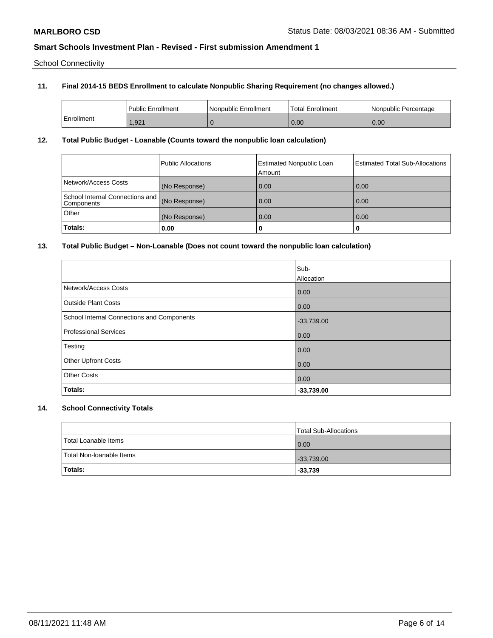School Connectivity

### **11. Final 2014-15 BEDS Enrollment to calculate Nonpublic Sharing Requirement (no changes allowed.)**

|            | <b>Public Enrollment</b> | l Nonpublic Enrollment | Total Enrollment | l Nonpublic Percentage |
|------------|--------------------------|------------------------|------------------|------------------------|
| Enrollment | .,921                    |                        | 0.00             | 0.00                   |

### **12. Total Public Budget - Loanable (Counts toward the nonpublic loan calculation)**

|                                               | Public Allocations | <b>Estimated Nonpublic Loan</b><br>Amount | <b>Estimated Total Sub-Allocations</b> |
|-----------------------------------------------|--------------------|-------------------------------------------|----------------------------------------|
| Network/Access Costs                          | (No Response)      | 0.00                                      | 0.00                                   |
| School Internal Connections and<br>Components | (No Response)      | 0.00                                      | 0.00                                   |
| Other                                         | (No Response)      | 0.00                                      | 0.00                                   |
| Totals:                                       | 0.00               | 0                                         |                                        |

### **13. Total Public Budget – Non-Loanable (Does not count toward the nonpublic loan calculation)**

|                                            | Sub-         |
|--------------------------------------------|--------------|
|                                            | Allocation   |
| Network/Access Costs                       | 0.00         |
| <b>Outside Plant Costs</b>                 | 0.00         |
| School Internal Connections and Components | $-33,739.00$ |
| Professional Services                      | 0.00         |
| Testing                                    | 0.00         |
| <b>Other Upfront Costs</b>                 | 0.00         |
| <b>Other Costs</b>                         | 0.00         |
| Totals:                                    | $-33,739.00$ |

## **14. School Connectivity Totals**

|                          | Total Sub-Allocations |
|--------------------------|-----------------------|
| Total Loanable Items     | 0.00                  |
| Total Non-Ioanable Items | $-33,739.00$          |
| <b>Totals:</b>           | $-33,739$             |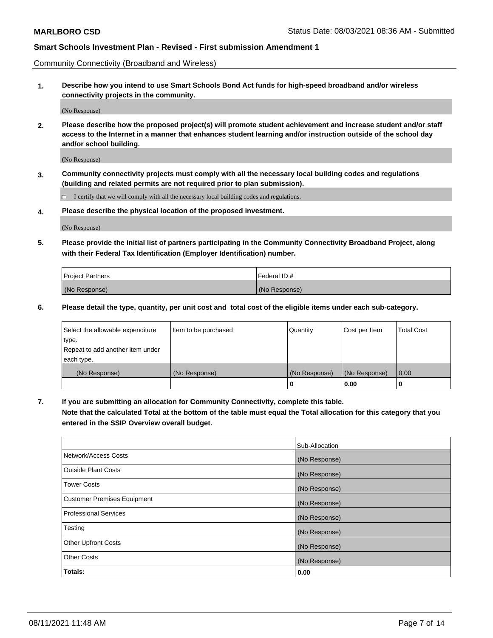Community Connectivity (Broadband and Wireless)

**1. Describe how you intend to use Smart Schools Bond Act funds for high-speed broadband and/or wireless connectivity projects in the community.**

(No Response)

**2. Please describe how the proposed project(s) will promote student achievement and increase student and/or staff access to the Internet in a manner that enhances student learning and/or instruction outside of the school day and/or school building.**

(No Response)

**3. Community connectivity projects must comply with all the necessary local building codes and regulations (building and related permits are not required prior to plan submission).**

 $\Box$  I certify that we will comply with all the necessary local building codes and regulations.

**4. Please describe the physical location of the proposed investment.**

(No Response)

**5. Please provide the initial list of partners participating in the Community Connectivity Broadband Project, along with their Federal Tax Identification (Employer Identification) number.**

| <b>Project Partners</b> | l Federal ID # |
|-------------------------|----------------|
| (No Response)           | (No Response)  |

**6. Please detail the type, quantity, per unit cost and total cost of the eligible items under each sub-category.**

| Select the allowable expenditure | Item to be purchased | Quantity      | Cost per Item | <b>Total Cost</b> |
|----------------------------------|----------------------|---------------|---------------|-------------------|
| type.                            |                      |               |               |                   |
| Repeat to add another item under |                      |               |               |                   |
| each type.                       |                      |               |               |                   |
| (No Response)                    | (No Response)        | (No Response) | (No Response) | 0.00              |
|                                  |                      | o             | 0.00          |                   |

**7. If you are submitting an allocation for Community Connectivity, complete this table.**

**Note that the calculated Total at the bottom of the table must equal the Total allocation for this category that you entered in the SSIP Overview overall budget.**

|                                    | Sub-Allocation |
|------------------------------------|----------------|
| Network/Access Costs               | (No Response)  |
| Outside Plant Costs                | (No Response)  |
| <b>Tower Costs</b>                 | (No Response)  |
| <b>Customer Premises Equipment</b> | (No Response)  |
| <b>Professional Services</b>       | (No Response)  |
| Testing                            | (No Response)  |
| <b>Other Upfront Costs</b>         | (No Response)  |
| <b>Other Costs</b>                 | (No Response)  |
| Totals:                            | 0.00           |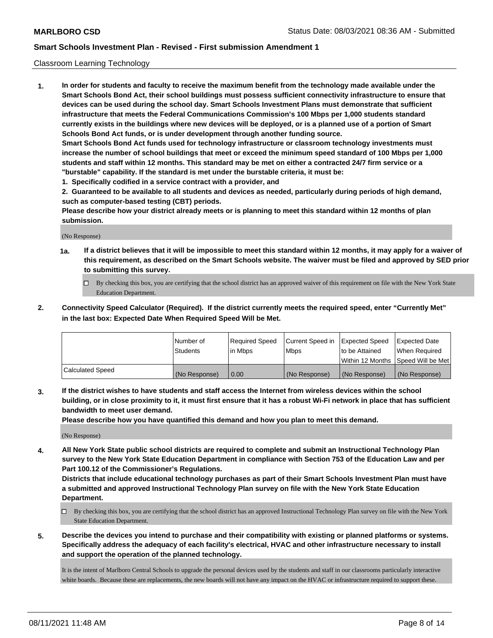### Classroom Learning Technology

**1. In order for students and faculty to receive the maximum benefit from the technology made available under the Smart Schools Bond Act, their school buildings must possess sufficient connectivity infrastructure to ensure that devices can be used during the school day. Smart Schools Investment Plans must demonstrate that sufficient infrastructure that meets the Federal Communications Commission's 100 Mbps per 1,000 students standard currently exists in the buildings where new devices will be deployed, or is a planned use of a portion of Smart Schools Bond Act funds, or is under development through another funding source. Smart Schools Bond Act funds used for technology infrastructure or classroom technology investments must increase the number of school buildings that meet or exceed the minimum speed standard of 100 Mbps per 1,000 students and staff within 12 months. This standard may be met on either a contracted 24/7 firm service or a "burstable" capability. If the standard is met under the burstable criteria, it must be:**

**1. Specifically codified in a service contract with a provider, and**

**2. Guaranteed to be available to all students and devices as needed, particularly during periods of high demand, such as computer-based testing (CBT) periods.**

**Please describe how your district already meets or is planning to meet this standard within 12 months of plan submission.**

(No Response)

- **1a. If a district believes that it will be impossible to meet this standard within 12 months, it may apply for a waiver of this requirement, as described on the Smart Schools website. The waiver must be filed and approved by SED prior to submitting this survey.**
	- By checking this box, you are certifying that the school district has an approved waiver of this requirement on file with the New York State Education Department.
- **2. Connectivity Speed Calculator (Required). If the district currently meets the required speed, enter "Currently Met" in the last box: Expected Date When Required Speed Will be Met.**

|                  | l Number of     | Required Speed | Current Speed in | <b>Expected Speed</b> | <b>Expected Date</b>                |
|------------------|-----------------|----------------|------------------|-----------------------|-------------------------------------|
|                  | <b>Students</b> | l in Mbps      | l Mbps           | to be Attained        | When Required                       |
|                  |                 |                |                  |                       | Within 12 Months  Speed Will be Met |
| Calculated Speed | (No Response)   | 0.00           | (No Response)    | l (No Response)       | (No Response)                       |

**3. If the district wishes to have students and staff access the Internet from wireless devices within the school building, or in close proximity to it, it must first ensure that it has a robust Wi-Fi network in place that has sufficient bandwidth to meet user demand.**

**Please describe how you have quantified this demand and how you plan to meet this demand.**

(No Response)

**4. All New York State public school districts are required to complete and submit an Instructional Technology Plan survey to the New York State Education Department in compliance with Section 753 of the Education Law and per Part 100.12 of the Commissioner's Regulations.**

**Districts that include educational technology purchases as part of their Smart Schools Investment Plan must have a submitted and approved Instructional Technology Plan survey on file with the New York State Education Department.**

- By checking this box, you are certifying that the school district has an approved Instructional Technology Plan survey on file with the New York State Education Department.
- **5. Describe the devices you intend to purchase and their compatibility with existing or planned platforms or systems. Specifically address the adequacy of each facility's electrical, HVAC and other infrastructure necessary to install and support the operation of the planned technology.**

It is the intent of Marlboro Central Schools to upgrade the personal devices used by the students and staff in our classrooms particularly interactive white boards. Because these are replacements, the new boards will not have any impact on the HVAC or infrastructure required to support these.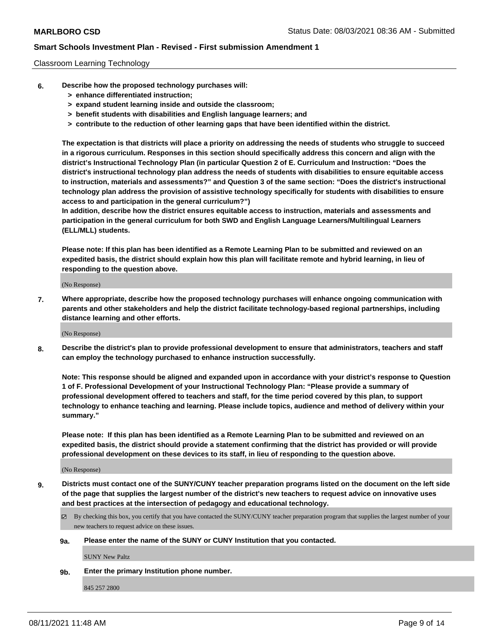#### Classroom Learning Technology

- **6. Describe how the proposed technology purchases will:**
	- **> enhance differentiated instruction;**
	- **> expand student learning inside and outside the classroom;**
	- **> benefit students with disabilities and English language learners; and**
	- **> contribute to the reduction of other learning gaps that have been identified within the district.**

**The expectation is that districts will place a priority on addressing the needs of students who struggle to succeed in a rigorous curriculum. Responses in this section should specifically address this concern and align with the district's Instructional Technology Plan (in particular Question 2 of E. Curriculum and Instruction: "Does the district's instructional technology plan address the needs of students with disabilities to ensure equitable access to instruction, materials and assessments?" and Question 3 of the same section: "Does the district's instructional technology plan address the provision of assistive technology specifically for students with disabilities to ensure access to and participation in the general curriculum?")**

**In addition, describe how the district ensures equitable access to instruction, materials and assessments and participation in the general curriculum for both SWD and English Language Learners/Multilingual Learners (ELL/MLL) students.**

**Please note: If this plan has been identified as a Remote Learning Plan to be submitted and reviewed on an expedited basis, the district should explain how this plan will facilitate remote and hybrid learning, in lieu of responding to the question above.**

(No Response)

**7. Where appropriate, describe how the proposed technology purchases will enhance ongoing communication with parents and other stakeholders and help the district facilitate technology-based regional partnerships, including distance learning and other efforts.**

(No Response)

**8. Describe the district's plan to provide professional development to ensure that administrators, teachers and staff can employ the technology purchased to enhance instruction successfully.**

**Note: This response should be aligned and expanded upon in accordance with your district's response to Question 1 of F. Professional Development of your Instructional Technology Plan: "Please provide a summary of professional development offered to teachers and staff, for the time period covered by this plan, to support technology to enhance teaching and learning. Please include topics, audience and method of delivery within your summary."**

**Please note: If this plan has been identified as a Remote Learning Plan to be submitted and reviewed on an expedited basis, the district should provide a statement confirming that the district has provided or will provide professional development on these devices to its staff, in lieu of responding to the question above.**

(No Response)

- **9. Districts must contact one of the SUNY/CUNY teacher preparation programs listed on the document on the left side of the page that supplies the largest number of the district's new teachers to request advice on innovative uses and best practices at the intersection of pedagogy and educational technology.**
	- $\boxtimes$  By checking this box, you certify that you have contacted the SUNY/CUNY teacher preparation program that supplies the largest number of your new teachers to request advice on these issues.

#### **9a. Please enter the name of the SUNY or CUNY Institution that you contacted.**

SUNY New Paltz

**9b. Enter the primary Institution phone number.**

845 257 2800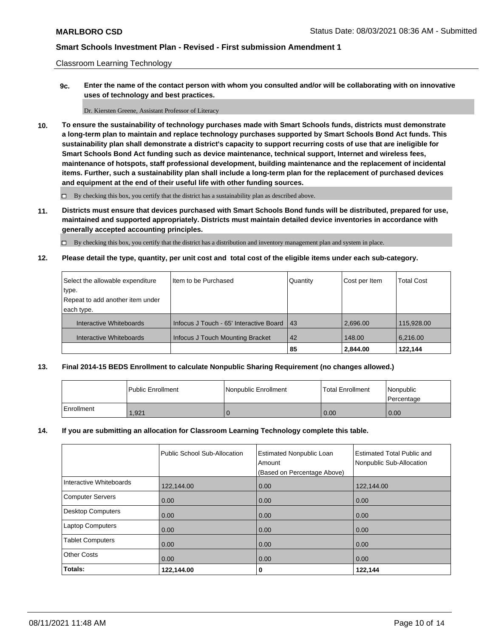Classroom Learning Technology

**9c. Enter the name of the contact person with whom you consulted and/or will be collaborating with on innovative uses of technology and best practices.**

Dr. Kiersten Greene, Assistant Professor of Literacy

**10. To ensure the sustainability of technology purchases made with Smart Schools funds, districts must demonstrate a long-term plan to maintain and replace technology purchases supported by Smart Schools Bond Act funds. This sustainability plan shall demonstrate a district's capacity to support recurring costs of use that are ineligible for Smart Schools Bond Act funding such as device maintenance, technical support, Internet and wireless fees, maintenance of hotspots, staff professional development, building maintenance and the replacement of incidental items. Further, such a sustainability plan shall include a long-term plan for the replacement of purchased devices and equipment at the end of their useful life with other funding sources.**

 $\square$  By checking this box, you certify that the district has a sustainability plan as described above.

**11. Districts must ensure that devices purchased with Smart Schools Bond funds will be distributed, prepared for use, maintained and supported appropriately. Districts must maintain detailed device inventories in accordance with generally accepted accounting principles.**

By checking this box, you certify that the district has a distribution and inventory management plan and system in place.

**12. Please detail the type, quantity, per unit cost and total cost of the eligible items under each sub-category.**

| Select the allowable expenditure | Iltem to be Purchased                   | Quantity   | Cost per Item | <b>Total Cost</b> |
|----------------------------------|-----------------------------------------|------------|---------------|-------------------|
| type.                            |                                         |            |               |                   |
| Repeat to add another item under |                                         |            |               |                   |
| each type.                       |                                         |            |               |                   |
| Interactive Whiteboards          | Infocus J Touch - 65' Interactive Board | $\vert$ 43 | 2.696.00      | 115,928.00        |
| Interactive Whiteboards          | Infocus J Touch Mounting Bracket        | 42         | 148.00        | 6,216.00          |
|                                  |                                         | 85         | 2,844.00      | 122,144           |

### **13. Final 2014-15 BEDS Enrollment to calculate Nonpublic Sharing Requirement (no changes allowed.)**

|            | Public Enrollment | Nonpublic Enrollment | <b>Total Enrollment</b> | Nonpublic<br>Percentage |
|------------|-------------------|----------------------|-------------------------|-------------------------|
| Enrollment | 1,921             | ъ                    | 0.00                    | 0.00                    |

#### **14. If you are submitting an allocation for Classroom Learning Technology complete this table.**

|                         | Public School Sub-Allocation | <b>Estimated Nonpublic Loan</b><br>Amount<br>(Based on Percentage Above) | <b>Estimated Total Public and</b><br>Nonpublic Sub-Allocation |
|-------------------------|------------------------------|--------------------------------------------------------------------------|---------------------------------------------------------------|
| Interactive Whiteboards | 122,144.00                   | 0.00                                                                     | 122,144.00                                                    |
| Computer Servers        | 0.00                         | 0.00                                                                     | 0.00                                                          |
| Desktop Computers       | 0.00                         | 0.00                                                                     | 0.00                                                          |
| <b>Laptop Computers</b> | 0.00                         | 0.00                                                                     | 0.00                                                          |
| <b>Tablet Computers</b> | 0.00                         | 0.00                                                                     | 0.00                                                          |
| <b>Other Costs</b>      | 0.00                         | 0.00                                                                     | 0.00                                                          |
| Totals:                 | 122,144.00                   | 0                                                                        | 122,144                                                       |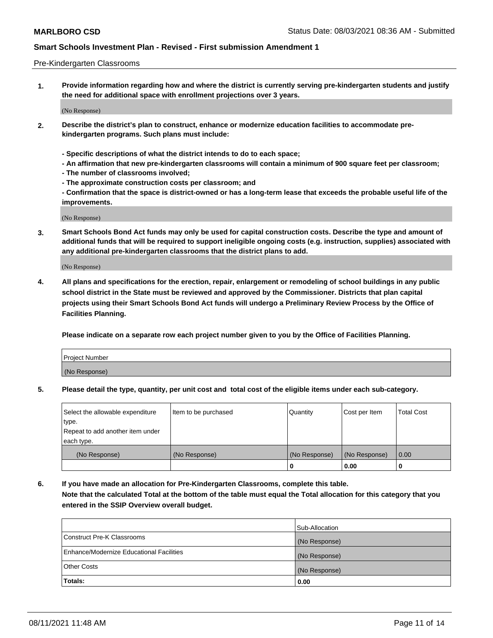#### Pre-Kindergarten Classrooms

**1. Provide information regarding how and where the district is currently serving pre-kindergarten students and justify the need for additional space with enrollment projections over 3 years.**

(No Response)

- **2. Describe the district's plan to construct, enhance or modernize education facilities to accommodate prekindergarten programs. Such plans must include:**
	- **Specific descriptions of what the district intends to do to each space;**
	- **An affirmation that new pre-kindergarten classrooms will contain a minimum of 900 square feet per classroom;**
	- **The number of classrooms involved;**
	- **The approximate construction costs per classroom; and**
	- **Confirmation that the space is district-owned or has a long-term lease that exceeds the probable useful life of the improvements.**

(No Response)

**3. Smart Schools Bond Act funds may only be used for capital construction costs. Describe the type and amount of additional funds that will be required to support ineligible ongoing costs (e.g. instruction, supplies) associated with any additional pre-kindergarten classrooms that the district plans to add.**

(No Response)

**4. All plans and specifications for the erection, repair, enlargement or remodeling of school buildings in any public school district in the State must be reviewed and approved by the Commissioner. Districts that plan capital projects using their Smart Schools Bond Act funds will undergo a Preliminary Review Process by the Office of Facilities Planning.**

**Please indicate on a separate row each project number given to you by the Office of Facilities Planning.**

| Project Number |  |
|----------------|--|
| (No Response)  |  |
|                |  |

**5. Please detail the type, quantity, per unit cost and total cost of the eligible items under each sub-category.**

| Select the allowable expenditure | Item to be purchased | Quantity      | Cost per Item | <b>Total Cost</b> |
|----------------------------------|----------------------|---------------|---------------|-------------------|
| type.                            |                      |               |               |                   |
| Repeat to add another item under |                      |               |               |                   |
| each type.                       |                      |               |               |                   |
| (No Response)                    | (No Response)        | (No Response) | (No Response) | 0.00              |
|                                  |                      | U             | 0.00          |                   |

**6. If you have made an allocation for Pre-Kindergarten Classrooms, complete this table. Note that the calculated Total at the bottom of the table must equal the Total allocation for this category that you entered in the SSIP Overview overall budget.**

|                                          | Sub-Allocation |
|------------------------------------------|----------------|
| Construct Pre-K Classrooms               | (No Response)  |
| Enhance/Modernize Educational Facilities | (No Response)  |
| <b>Other Costs</b>                       | (No Response)  |
| Totals:                                  | 0.00           |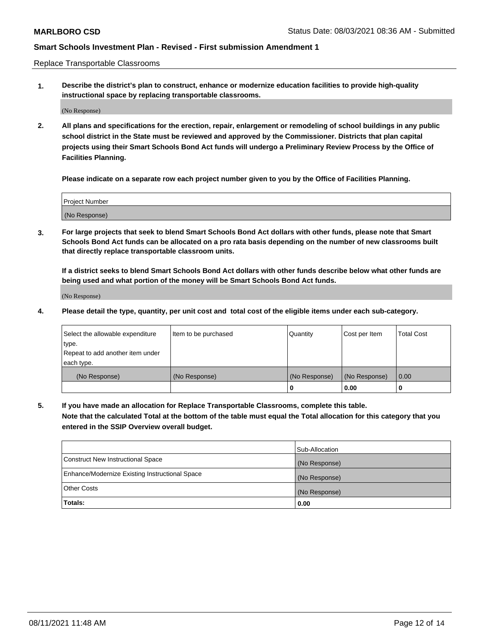Replace Transportable Classrooms

**1. Describe the district's plan to construct, enhance or modernize education facilities to provide high-quality instructional space by replacing transportable classrooms.**

(No Response)

**2. All plans and specifications for the erection, repair, enlargement or remodeling of school buildings in any public school district in the State must be reviewed and approved by the Commissioner. Districts that plan capital projects using their Smart Schools Bond Act funds will undergo a Preliminary Review Process by the Office of Facilities Planning.**

**Please indicate on a separate row each project number given to you by the Office of Facilities Planning.**

| Project Number |  |
|----------------|--|
|                |  |
|                |  |
|                |  |
| (No Response)  |  |
|                |  |
|                |  |

**3. For large projects that seek to blend Smart Schools Bond Act dollars with other funds, please note that Smart Schools Bond Act funds can be allocated on a pro rata basis depending on the number of new classrooms built that directly replace transportable classroom units.**

**If a district seeks to blend Smart Schools Bond Act dollars with other funds describe below what other funds are being used and what portion of the money will be Smart Schools Bond Act funds.**

(No Response)

**4. Please detail the type, quantity, per unit cost and total cost of the eligible items under each sub-category.**

| Select the allowable expenditure | Item to be purchased | Quantity      | Cost per Item | Total Cost |
|----------------------------------|----------------------|---------------|---------------|------------|
| ∣type.                           |                      |               |               |            |
| Repeat to add another item under |                      |               |               |            |
| each type.                       |                      |               |               |            |
| (No Response)                    | (No Response)        | (No Response) | (No Response) | 0.00       |
|                                  |                      | u             | 0.00          |            |

**5. If you have made an allocation for Replace Transportable Classrooms, complete this table. Note that the calculated Total at the bottom of the table must equal the Total allocation for this category that you entered in the SSIP Overview overall budget.**

|                                                | Sub-Allocation |
|------------------------------------------------|----------------|
| Construct New Instructional Space              | (No Response)  |
| Enhance/Modernize Existing Instructional Space | (No Response)  |
| Other Costs                                    | (No Response)  |
| Totals:                                        | 0.00           |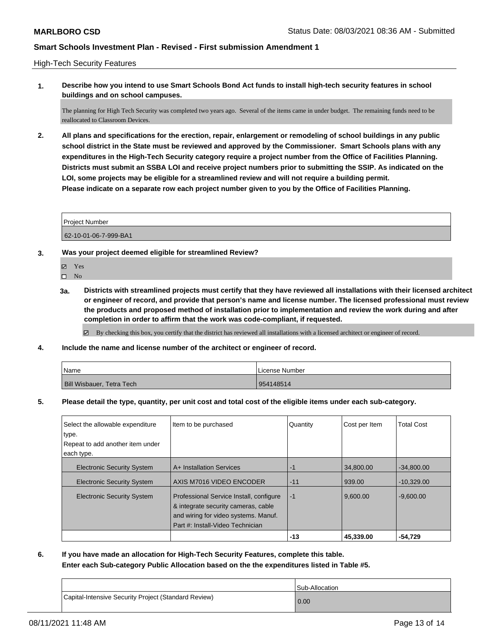#### High-Tech Security Features

**1. Describe how you intend to use Smart Schools Bond Act funds to install high-tech security features in school buildings and on school campuses.**

The planning for High Tech Security was completed two years ago. Several of the items came in under budget. The remaining funds need to be reallocated to Classroom Devices.

**2. All plans and specifications for the erection, repair, enlargement or remodeling of school buildings in any public school district in the State must be reviewed and approved by the Commissioner. Smart Schools plans with any expenditures in the High-Tech Security category require a project number from the Office of Facilities Planning. Districts must submit an SSBA LOI and receive project numbers prior to submitting the SSIP. As indicated on the LOI, some projects may be eligible for a streamlined review and will not require a building permit. Please indicate on a separate row each project number given to you by the Office of Facilities Planning.**

Project Number

62-10-01-06-7-999-BA1

- **3. Was your project deemed eligible for streamlined Review?**
	- Yes
	- $\hfill \square$  No
	- **3a. Districts with streamlined projects must certify that they have reviewed all installations with their licensed architect or engineer of record, and provide that person's name and license number. The licensed professional must review the products and proposed method of installation prior to implementation and review the work during and after completion in order to affirm that the work was code-compliant, if requested.**

By checking this box, you certify that the district has reviewed all installations with a licensed architect or engineer of record.

**4. Include the name and license number of the architect or engineer of record.**

| Name                      | License Number |
|---------------------------|----------------|
| Bill Wisbauer, Tetra Tech | 954148514      |

**5. Please detail the type, quantity, per unit cost and total cost of the eligible items under each sub-category.**

| Select the allowable expenditure  | Item to be purchased                                                                                                                                       | Quantity | Cost per Item | <b>Total Cost</b> |
|-----------------------------------|------------------------------------------------------------------------------------------------------------------------------------------------------------|----------|---------------|-------------------|
| type.                             |                                                                                                                                                            |          |               |                   |
| Repeat to add another item under  |                                                                                                                                                            |          |               |                   |
| each type.                        |                                                                                                                                                            |          |               |                   |
| <b>Electronic Security System</b> | A+ Installation Services                                                                                                                                   | -1       | 34,800.00     | $-34,800.00$      |
| <b>Electronic Security System</b> | AXIS M7016 VIDEO ENCODER                                                                                                                                   | $-11$    | 939.00        | $-10.329.00$      |
| <b>Electronic Security System</b> | Professional Service Install, configure<br>& integrate security cameras, cable<br>and wiring for video systems. Manuf.<br>Part #: Install-Video Technician | $-1$     | 9.600.00      | $-9.600.00$       |
|                                   |                                                                                                                                                            | $-13$    | 45.339.00     | -54,729           |

**6. If you have made an allocation for High-Tech Security Features, complete this table. Enter each Sub-category Public Allocation based on the the expenditures listed in Table #5.**

|                                                      | Sub-Allocation |
|------------------------------------------------------|----------------|
| Capital-Intensive Security Project (Standard Review) | 0.00           |